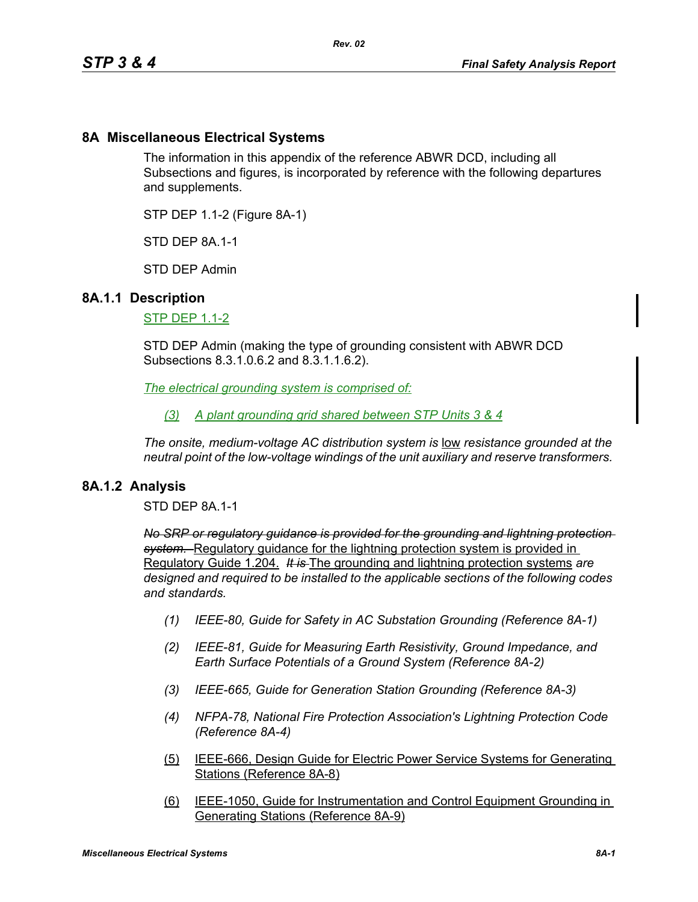## **8A Miscellaneous Electrical Systems**

The information in this appendix of the reference ABWR DCD, including all Subsections and figures, is incorporated by reference with the following departures and supplements.

STP DEP 1.1-2 (Figure 8A-1)

STD DFP 8A 1-1

STD DEP Admin

### **8A.1.1 Description**

STP DEP 1.1-2

STD DEP Admin (making the type of grounding consistent with ABWR DCD Subsections 8.3.1.0.6.2 and 8.3.1.1.6.2).

*The electrical grounding system is comprised of:*

*(3) A plant grounding grid shared between STP Units 3 & 4*

*The onsite, medium-voltage AC distribution system is low resistance grounded at the neutral point of the low-voltage windings of the unit auxiliary and reserve transformers.* 

### **8A.1.2 Analysis**

STD DEP 8A.1-1

*No SRP or regulatory guidance is provided for the grounding and lightning protection system.* Regulatory guidance for the lightning protection system is provided in Regulatory Guide 1.204. *It is* The grounding and lightning protection systems *are designed and required to be installed to the applicable sections of the following codes and standards.*

- *(1) IEEE-80, Guide for Safety in AC Substation Grounding (Reference 8A-1)*
- *(2) IEEE-81, Guide for Measuring Earth Resistivity, Ground Impedance, and Earth Surface Potentials of a Ground System (Reference 8A-2)*
- *(3) IEEE-665, Guide for Generation Station Grounding (Reference 8A-3)*
- *(4) NFPA-78, National Fire Protection Association's Lightning Protection Code (Reference 8A-4)*
- (5) IEEE-666, Design Guide for Electric Power Service Systems for Generating Stations (Reference 8A-8)
- (6) IEEE-1050, Guide for Instrumentation and Control Equipment Grounding in Generating Stations (Reference 8A-9)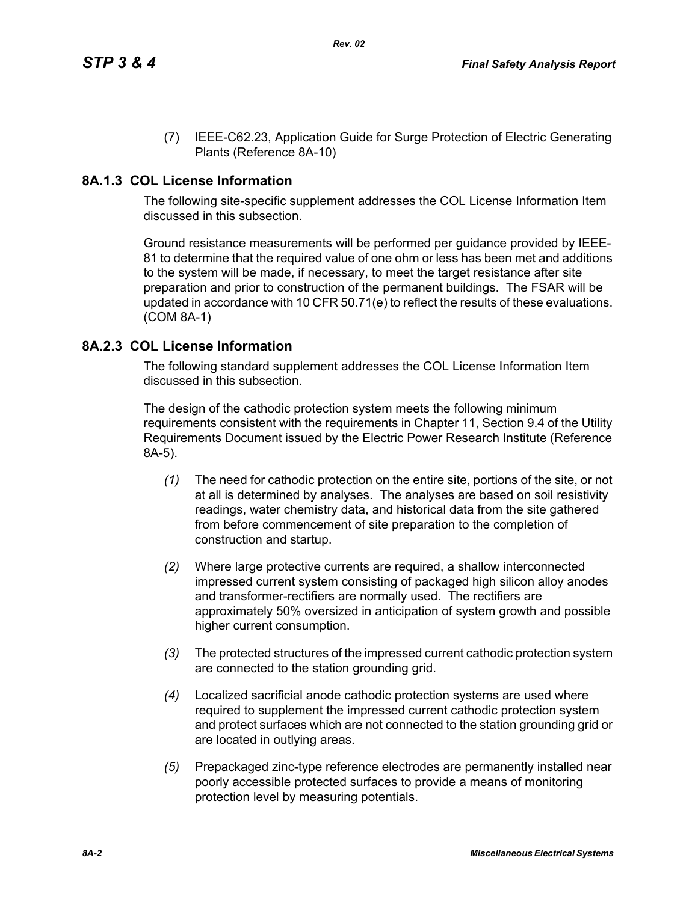#### (7) IEEE-C62.23, Application Guide for Surge Protection of Electric Generating Plants (Reference 8A-10)

# **8A.1.3 COL License Information**

The following site-specific supplement addresses the COL License Information Item discussed in this subsection.

Ground resistance measurements will be performed per guidance provided by IEEE-81 to determine that the required value of one ohm or less has been met and additions to the system will be made, if necessary, to meet the target resistance after site preparation and prior to construction of the permanent buildings. The FSAR will be updated in accordance with 10 CFR 50.71(e) to reflect the results of these evaluations. (COM 8A-1)

# **8A.2.3 COL License Information**

The following standard supplement addresses the COL License Information Item discussed in this subsection.

The design of the cathodic protection system meets the following minimum requirements consistent with the requirements in Chapter 11, Section 9.4 of the Utility Requirements Document issued by the Electric Power Research Institute (Reference 8A-5).

- *(1)* The need for cathodic protection on the entire site, portions of the site, or not at all is determined by analyses. The analyses are based on soil resistivity readings, water chemistry data, and historical data from the site gathered from before commencement of site preparation to the completion of construction and startup.
- *(2)* Where large protective currents are required, a shallow interconnected impressed current system consisting of packaged high silicon alloy anodes and transformer-rectifiers are normally used. The rectifiers are approximately 50% oversized in anticipation of system growth and possible higher current consumption.
- *(3)* The protected structures of the impressed current cathodic protection system are connected to the station grounding grid.
- *(4)* Localized sacrificial anode cathodic protection systems are used where required to supplement the impressed current cathodic protection system and protect surfaces which are not connected to the station grounding grid or are located in outlying areas.
- *(5)* Prepackaged zinc-type reference electrodes are permanently installed near poorly accessible protected surfaces to provide a means of monitoring protection level by measuring potentials.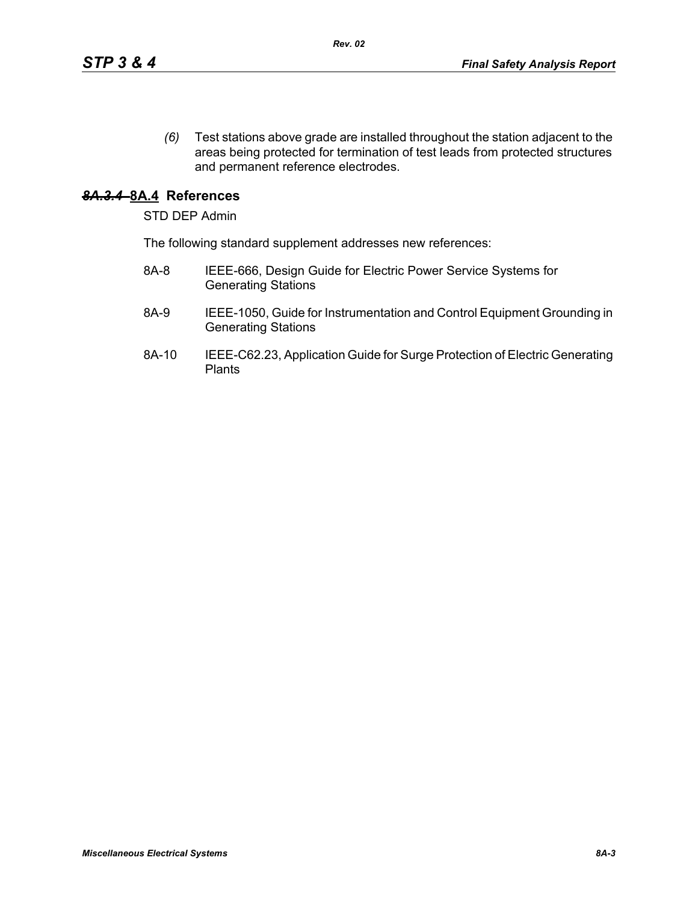*(6)* Test stations above grade are installed throughout the station adjacent to the areas being protected for termination of test leads from protected structures and permanent reference electrodes.

## *8A.3.4* **8A.4 References**

STD DEP Admin

The following standard supplement addresses new references:

- 8A-8 IEEE-666, Design Guide for Electric Power Service Systems for Generating Stations
- 8A-9 IEEE-1050, Guide for Instrumentation and Control Equipment Grounding in Generating Stations
- 8A-10 IEEE-C62.23, Application Guide for Surge Protection of Electric Generating **Plants**